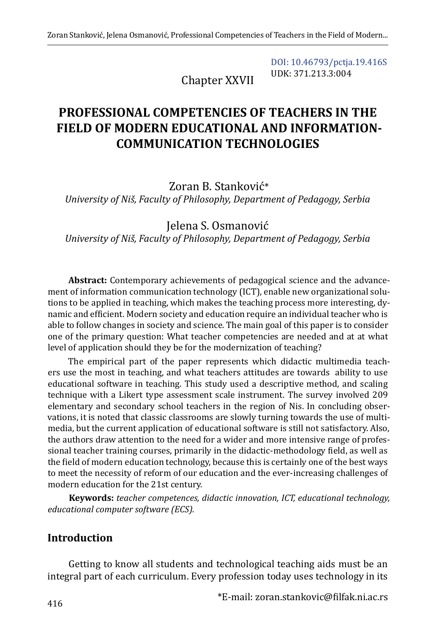Chapter XXVII

[DOI: 10.46793/pctja.19.416S](https://doi.org/10.46793/pctja.19.416S) UDK: 371.213.3:004

# **PROFESSIONAL COMPETENCIES OF TEACHERS IN THE FIELD OF MODERN EDUCATIONAL AND INFORMATION-COMMUNICATION TECHNOLOGIES**

Zoran B. Stanković\*

*University of Niš, Faculty of Philosophy, Department of Pedagogy, Serbia*

Jelena S. Osmanović

*University of Niš, Faculty of Philosophy, Department of Pedagogy, Serbia*

**Abstract:** Contemporary achievements of pedagogical science and the advancement of information communication technology (ICT), enable new organizational solutions to be applied in teaching, which makes the teaching process more interesting, dynamic and efficient. Modern society and education require an individual teacher who is able to follow changes in society and science. The main goal of this paper is to consider one of the primary question: What teacher competencies are needed and at at what level of application should they be for the modernization of teaching?

The empirical part of the paper represents which didactic multimedia teachers use the most in teaching, and what teachers attitudes are towards ability to use educational software in teaching. This study used a descriptive method, and scaling technique with a Likert type assessment scale instrument. The survey involved 209 elementary and secondary school teachers in the region of Nis. In concluding observations, it is noted that classic classrooms are slowly turning towards the use of multimedia, but the current application of educational software is still not satisfactory. Also, the authors draw attention to the need for a wider and more intensive range of professional teacher training courses, primarily in the didactic-methodology field, as well as the field of modern education technology, because this is certainly one of the best ways to meet the necessity of reform of our education and the ever-increasing challenges of modern education for the 21st century.

**Keywords:** *teacher competences, didactic innovation, ICT, educational technology, educational computer software (ECS).*

### **Introduction**

Getting to know all students and technological teaching aids must be an integral part of each curriculum. Every profession today uses technology in its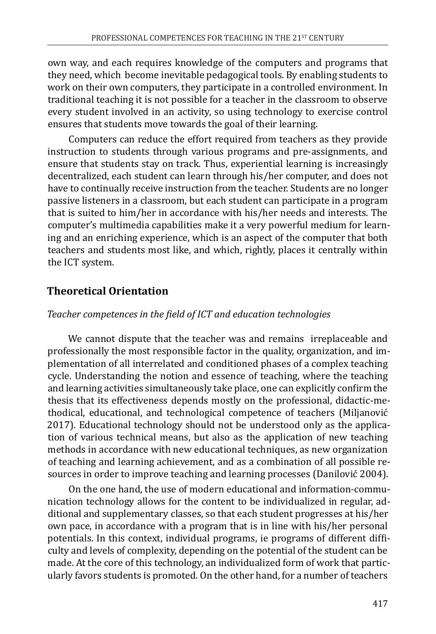own way, and each requires knowledge of the computers and programs that they need, which become inevitable pedagogical tools. By enabling students to work on their own computers, they participate in a controlled environment. In traditional teaching it is not possible for a teacher in the classroom to observe every student involved in an activity, so using technology to exercise control ensures that students move towards the goal of their learning.

Computers can reduce the effort required from teachers as they provide instruction to students through various programs and pre-assignments, and ensure that students stay on track. Thus, experiential learning is increasingly decentralized, each student can learn through his/her computer, and does not have to continually receive instruction from the teacher. Students are no longer passive listeners in a classroom, but each student can participate in a program that is suited to him/her in accordance with his/her needs and interests. The computer's multimedia capabilities make it a very powerful medium for learning and an enriching experience, which is an aspect of the computer that both teachers and students most like, and which, rightly, places it centrally within the ICT system.

## **Theoretical Orientation**

### *Teacher competences in the field of ICT and education technologies*

We cannot dispute that the teacher was and remains irreplaceable and professionally the most responsible factor in the quality, organization, and implementation of all interrelated and conditioned phases of a complex teaching cycle. Understanding the notion and essence of teaching, where the teaching and learning activities simultaneously take place, one can explicitly confirm the thesis that its effectiveness depends mostly on the professional, didactic-methodical, educational, and technological competence of teachers (Miljanović 2017). Educational technology should not be understood only as the application of various technical means, but also as the application of new teaching methods in accordance with new educational techniques, as new organization of teaching and learning achievement, and as a combination of all possible resources in order to improve teaching and learning processes (Danilović 2004).

On the one hand, the use of modern educational and information-communication technology allows for the content to be individualized in regular, additional and supplementary classes, so that each student progresses at his/her own pace, in accordance with a program that is in line with his/her personal potentials. In this context, individual programs, ie programs of different difficulty and levels of complexity, depending on the potential of the student can be made. At the core of this technology, an individualized form of work that particularly favors students is promoted. On the other hand, for a number of teachers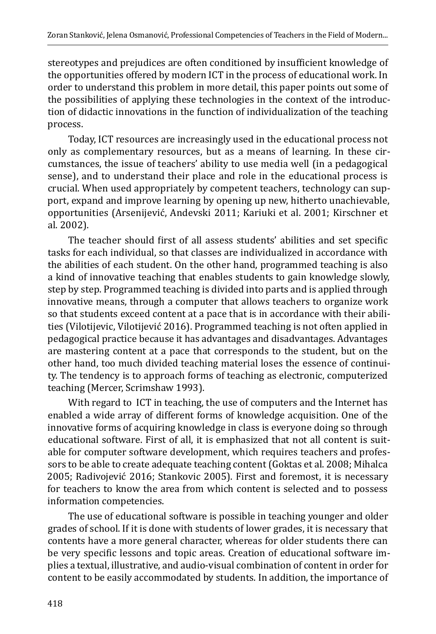stereotypes and prejudices are often conditioned by insufficient knowledge of the opportunities offered by modern ICT in the process of educational work. In order to understand this problem in more detail, this paper points out some of the possibilities of applying these technologies in the context of the introduction of didactic innovations in the function of individualization of the teaching process.

Today, ICT resources are increasingly used in the educational process not only as complementary resources, but as a means of learning. In these circumstances, the issue of teachers' ability to use media well (in a pedagogical sense), and to understand their place and role in the educational process is crucial. When used appropriately by competent teachers, technology can support, expand and improve learning by opening up new, hitherto unachievable, opportunities (Arsenijević, Andevski 2011; Kariuki et al. 2001; Kirschner et al. 2002).

The teacher should first of all assess students' abilities and set specific tasks for each individual, so that classes are individualized in accordance with the abilities of each student. On the other hand, programmed teaching is also a kind of innovative teaching that enables students to gain knowledge slowly, step by step. Programmed teaching is divided into parts and is applied through innovative means, through a computer that allows teachers to organize work so that students exceed content at a pace that is in accordance with their abilities (Vilotijevic, Vilotijević 2016). Programmed teaching is not often applied in pedagogical practice because it has advantages and disadvantages. Advantages are mastering content at a pace that corresponds to the student, but on the other hand, too much divided teaching material loses the essence of continuity. The tendency is to approach forms of teaching as electronic, computerized teaching (Mercer, Scrimshaw 1993).

With regard to ICT in teaching, the use of computers and the Internet has enabled a wide array of different forms of knowledge acquisition. One of the innovative forms of acquiring knowledge in class is everyone doing so through educational software. First of all, it is emphasized that not all content is suitable for computer software development, which requires teachers and professors to be able to create adequate teaching content (Goktas et al. 2008; Mihalca 2005; Radivojević 2016; Stankovic 2005). First and foremost, it is necessary for teachers to know the area from which content is selected and to possess information competencies.

The use of educational software is possible in teaching younger and older grades of school. If it is done with students of lower grades, it is necessary that contents have a more general character, whereas for older students there can be very specific lessons and topic areas. Creation of educational software implies a textual, illustrative, and audio-visual combination of content in order for content to be easily accommodated by students. In addition, the importance of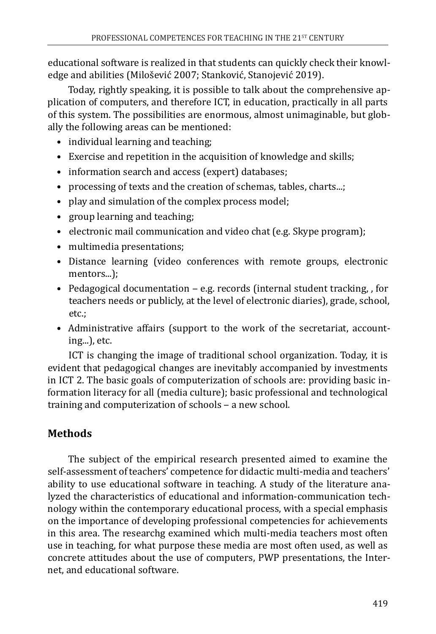educational software is realized in that students can quickly check their knowledge and abilities (Milošević 2007; Stanković, Stanojević 2019).

Today, rightly speaking, it is possible to talk about the comprehensive application of computers, and therefore ICT, in education, practically in all parts of this system. The possibilities are enormous, almost unimaginable, but globally the following areas can be mentioned:

- individual learning and teaching:
- Exercise and repetition in the acquisition of knowledge and skills;
- information search and access (expert) databases;
- processing of texts and the creation of schemas, tables, charts...;
- play and simulation of the complex process model;
- group learning and teaching;
- electronic mail communication and video chat (e.g. Skype program);
- multimedia presentations;
- Distance learning (video conferences with remote groups, electronic mentors...);
- Pedagogical documentation  $-e.g.$  records (internal student tracking, for teachers needs or publicly, at the level of electronic diaries), grade, school, etc.;
- Administrative affairs (support to the work of the secretariat, accounting...), etc.

ICT is changing the image of traditional school organization. Today, it is evident that pedagogical changes are inevitably accompanied by investments in ICT 2. The basic goals of computerization of schools are: providing basic information literacy for all (media culture); basic professional and technological training and computerization of schools – a new school.

# **Methods**

The subject of the empirical research presented aimed to examine the self-assessment of teachers' competence for didactic multi-media and teachers' ability to use educational software in teaching. A study of the literature analyzed the characteristics of educational and information-communication technology within the contemporary educational process, with a special emphasis on the importance of developing professional competencies for achievements in this area. The researchg examined which multi-media teachers most often use in teaching, for what purpose these media are most often used, as well as concrete attitudes about the use of computers, PWP presentations, the Internet, and educational software.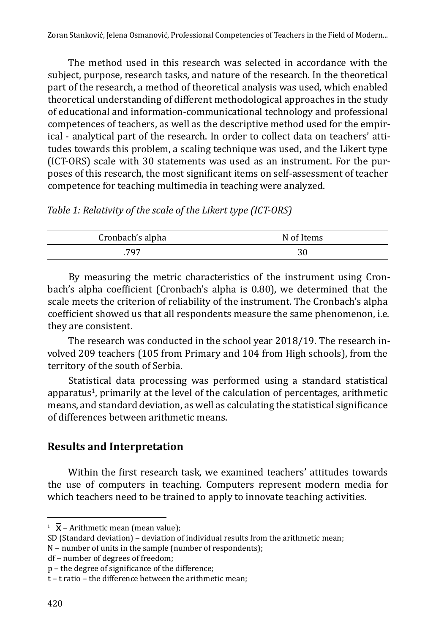The method used in this research was selected in accordance with the subject, purpose, research tasks, and nature of the research. In the theoretical part of the research, a method of theoretical analysis was used, which enabled theoretical understanding of different methodological approaches in the study of educational and information-communicational technology and professional competences of teachers, as well as the descriptive method used for the empirical - analytical part of the research. In order to collect data on teachers' attitudes towards this problem, a scaling technique was used, and the Likert type (ICT-ORS) scale with 30 statements was used as an instrument. For the purposes of this research, the most significant items on self-assessment of teacher competence for teaching multimedia in teaching were analyzed.

*Table 1: Relativity of the scale of the Likert type (ICT-ORS)*

| Cronbach's alpha | N of Items |
|------------------|------------|
|                  |            |

By measuring the metric characteristics of the instrument using Cronbach's alpha coefficient (Cronbach's alpha is 0.80), we determined that the scale meets the criterion of reliability of the instrument. The Cronbach's alpha coefficient showed us that all respondents measure the same phenomenon, i.e. they are consistent.

The research was conducted in the school year 2018/19. The research involved 209 teachers (105 from Primary and 104 from High schools), from the territory of the south of Serbia.

Statistical data processing was performed using a standard statistical apparatus<sup>1</sup>, primarily at the level of the calculation of percentages, arithmetic means, and standard deviation, as well as calculating the statistical significance of differences between arithmetic means.

## **Results and Interpretation**

Within the first research task, we examined teachers' attitudes towards the use of computers in teaching. Computers represent modern media for which teachers need to be trained to apply to innovate teaching activities.

df - number of degrees of freedom;

 $1 \overline{X}$  – Arithmetic mean (mean value);

SD (Standard deviation) - deviation of individual results from the arithmetic mean;

N – number of units in the sample (number of respondents);

p ‒ the degree of significance of the difference;

t – t ratio – the difference between the arithmetic mean;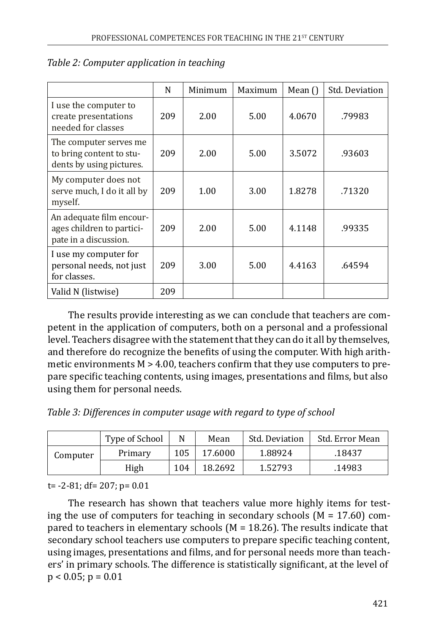|                                                                                | N   | Minimum | Maximum | Mean $\bigcap$ | Std. Deviation |
|--------------------------------------------------------------------------------|-----|---------|---------|----------------|----------------|
| I use the computer to<br>create presentations<br>needed for classes            | 209 | 2.00    | 5.00    | 4.0670         | .79983         |
| The computer serves me<br>to bring content to stu-<br>dents by using pictures. | 209 | 2.00    | 5.00    | 3.5072         | .93603         |
| My computer does not<br>serve much, I do it all by<br>myself.                  | 209 | 1.00    | 3.00    | 1.8278         | .71320         |
| An adequate film encour-<br>ages children to partici-<br>pate in a discussion. | 209 | 2.00    | 5.00    | 4.1148         | .99335         |
| I use my computer for<br>personal needs, not just<br>for classes.              | 209 | 3.00    | 5.00    | 4.4163         | .64594         |
| Valid N (listwise)                                                             | 209 |         |         |                |                |

#### *Table 2: Computer application in teaching*

The results provide interesting as we can conclude that teachers are competent in the application of computers, both on a personal and a professional level. Teachers disagree with the statement that they can do it all by themselves, and therefore do recognize the benefits of using the computer. With high arithmetic environments  $M > 4.00$ , teachers confirm that they use computers to prepare specific teaching contents, using images, presentations and films, but also using them for personal needs.

*Table 3: Differences in computer usage with regard to type of school*

|          | Type of School |     | Mean    | Std. Deviation | Std. Error Mean |
|----------|----------------|-----|---------|----------------|-----------------|
| Computer | Primary        | 105 | 17.6000 | 1.88924        | .18437          |
|          | High           | 104 | 18.2692 | 1.52793        | .14983          |

t= -2-81; df= 207; p= 0.01

The research has shown that teachers value more highly items for testing the use of computers for teaching in secondary schools  $(M = 17.60)$  compared to teachers in elementary schools (M = 18.26). The results indicate that secondary school teachers use computers to prepare specific teaching content, using images, presentations and films, and for personal needs more than teachers' in primary schools. The difference is statistically significant, at the level of  $p < 0.05$ ;  $p = 0.01$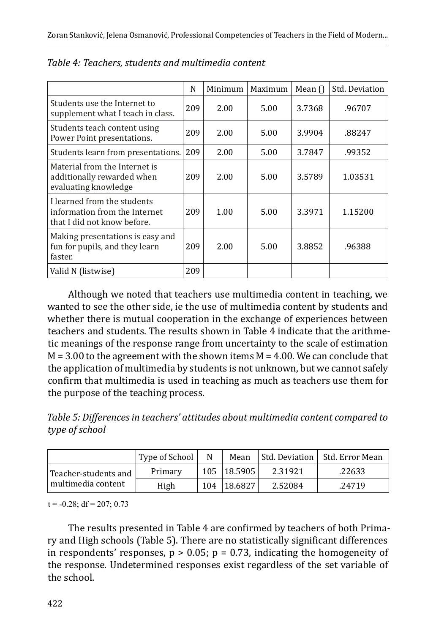|                                                                                             | N   | Minimum | Maximum | Mean $\bigcap$ | Std. Deviation |
|---------------------------------------------------------------------------------------------|-----|---------|---------|----------------|----------------|
| Students use the Internet to<br>supplement what I teach in class.                           | 209 | 2.00    | 5.00    | 3.7368         | .96707         |
| Students teach content using<br>Power Point presentations.                                  | 209 | 2.00    | 5.00    | 3.9904         | .88247         |
| Students learn from presentations.                                                          | 209 | 2.00    | 5.00    | 3.7847         | .99352         |
| Material from the Internet is<br>additionally rewarded when<br>evaluating knowledge         | 209 | 2.00    | 5.00    | 3.5789         | 1.03531        |
| I learned from the students<br>information from the Internet<br>that I did not know before. | 209 | 1.00    | 5.00    | 3.3971         | 1.15200        |
| Making presentations is easy and<br>fun for pupils, and they learn<br>faster.               | 209 | 2.00    | 5.00    | 3.8852         | .96388         |
| Valid N (listwise)                                                                          | 209 |         |         |                |                |

| Table 4: Teachers, students and multimedia content |  |
|----------------------------------------------------|--|
|----------------------------------------------------|--|

Although we noted that teachers use multimedia content in teaching, we wanted to see the other side, ie the use of multimedia content by students and whether there is mutual cooperation in the exchange of experiences between teachers and students. The results shown in Table 4 indicate that the arithmetic meanings of the response range from uncertainty to the scale of estimation  $M = 3.00$  to the agreement with the shown items  $M = 4.00$ . We can conclude that the application of multimedia by students is not unknown, but we cannot safely confirm that multimedia is used in teaching as much as teachers use them for the purpose of the teaching process.

*Table 5: Differences in teachers' attitudes about multimedia content compared to type of school*

|                      | Type of School | N | Mean        |         | Std. Deviation   Std. Error Mean |
|----------------------|----------------|---|-------------|---------|----------------------------------|
| Teacher-students and | Primary        |   | 105 18.5905 | 2.31921 | .22633                           |
| multimedia content   | High           |   | 104 18.6827 | 2.52084 | .24719                           |

 $t = -0.28$ ; df = 207; 0.73

The results presented in Table 4 are confirmed by teachers of both Primary and High schools (Table 5). There are no statistically significant differences in respondents' responses,  $p > 0.05$ ;  $p = 0.73$ , indicating the homogeneity of the response. Undetermined responses exist regardless of the set variable of the school.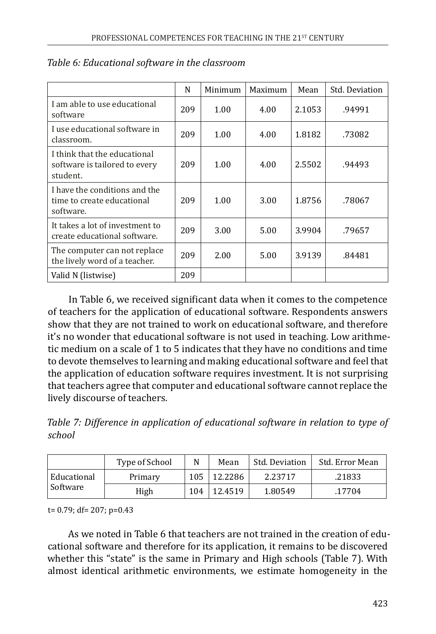|                                                                           | N   | Minimum | Maximum | Mean   | Std. Deviation |
|---------------------------------------------------------------------------|-----|---------|---------|--------|----------------|
| I am able to use educational<br>software                                  | 209 | 1.00    | 4.00    | 2.1053 | .94991         |
| I use educational software in<br>classroom.                               | 209 | 1.00    | 4.00    | 1.8182 | .73082         |
| I think that the educational<br>software is tailored to every<br>student. | 209 | 1.00    | 4.00    | 2.5502 | .94493         |
| I have the conditions and the<br>time to create educational<br>software.  | 209 | 1.00    | 3.00    | 1.8756 | .78067         |
| It takes a lot of investment to<br>create educational software.           | 209 | 3.00    | 5.00    | 3.9904 | .79657         |
| The computer can not replace<br>the lively word of a teacher.             | 209 | 2.00    | 5.00    | 3.9139 | .84481         |
| Valid N (listwise)                                                        | 209 |         |         |        |                |

### *Table 6: Educational software in the classroom*

In Table 6, we received significant data when it comes to the competence of teachers for the application of educational software. Respondents answers show that they are not trained to work on educational software, and therefore it's no wonder that educational software is not used in teaching. Low arithmetic medium on a scale of 1 to 5 indicates that they have no conditions and time to devote themselves to learning and making educational software and feel that the application of education software requires investment. It is not surprising that teachers agree that computer and educational software cannot replace the lively discourse of teachers.

*Table 7: Difference in application of educational software in relation to type of school*

|             | Type of School |     | Mean    | Std. Deviation | Std. Error Mean |
|-------------|----------------|-----|---------|----------------|-----------------|
| Educational | Primary        | 105 | 12.2286 | 2.23717        | .21833          |
| Software    | High           | 104 | 12.4519 | 1.80549        | .17704          |

t= 0.79; df= 207; p=0.43

As we noted in Table 6 that teachers are not trained in the creation of educational software and therefore for its application, it remains to be discovered whether this "state" is the same in Primary and High schools (Table 7). With almost identical arithmetic environments, we estimate homogeneity in the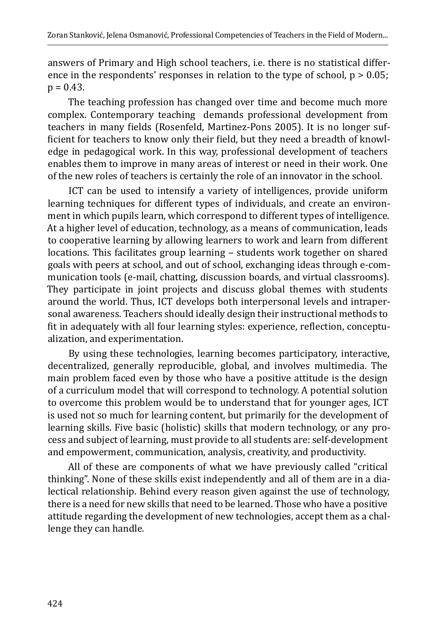answers of Primary and High school teachers, i.e. there is no statistical difference in the respondents' responses in relation to the type of school,  $p > 0.05$ ;  $p = 0.43$ .

The teaching profession has changed over time and become much more complex. Contemporary teaching demands professional development from teachers in many fields (Rosenfeld, Martinez-Pons 2005). It is no longer sufficient for teachers to know only their field, but they need a breadth of knowledge in pedagogical work. In this way, professional development of teachers enables them to improve in many areas of interest or need in their work. One of the new roles of teachers is certainly the role of an innovator in the school.

ICT can be used to intensify a variety of intelligences, provide uniform learning techniques for different types of individuals, and create an environment in which pupils learn, which correspond to different types of intelligence. At a higher level of education, technology, as a means of communication, leads to cooperative learning by allowing learners to work and learn from different locations. This facilitates group learning - students work together on shared goals with peers at school, and out of school, exchanging ideas through e-communication tools (e-mail, chatting, discussion boards, and virtual classrooms). They participate in joint projects and discuss global themes with students around the world. Thus, ICT develops both interpersonal levels and intrapersonal awareness. Teachers should ideally design their instructional methods to fit in adequately with all four learning styles: experience, reflection, conceptualization, and experimentation.

By using these technologies, learning becomes participatory, interactive, decentralized, generally reproducible, global, and involves multimedia. The main problem faced even by those who have a positive attitude is the design of a curriculum model that will correspond to technology. A potential solution to overcome this problem would be to understand that for younger ages, ICT is used not so much for learning content, but primarily for the development of learning skills. Five basic (holistic) skills that modern technology, or any process and subject of learning, must provide to all students are: self-development and empowerment, communication, analysis, creativity, and productivity.

All of these are components of what we have previously called "critical thinking". None of these skills exist independently and all of them are in a dialectical relationship. Behind every reason given against the use of technology, there is a need for new skills that need to be learned. Those who have a positive attitude regarding the development of new technologies, accept them as a challenge they can handle.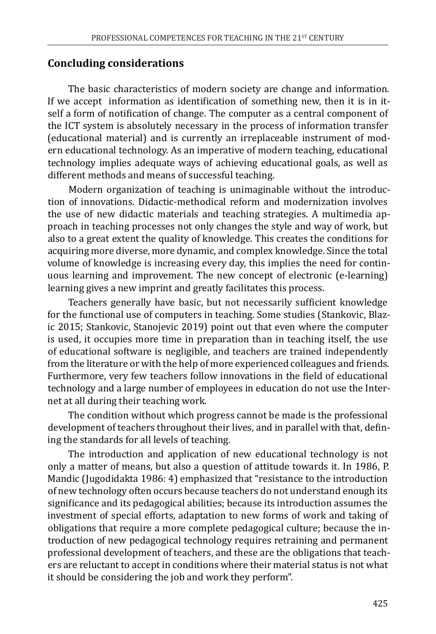#### **Concluding considerations**

The basic characteristics of modern society are change and information. If we accept information as identification of something new, then it is in itself a form of notification of change. The computer as a central component of the ICT system is absolutely necessary in the process of information transfer (educational material) and is currently an irreplaceable instrument of modern educational technology. As an imperative of modern teaching, educational technology implies adequate ways of achieving educational goals, as well as different methods and means of successful teaching.

Modern organization of teaching is unimaginable without the introduction of innovations. Didactic-methodical reform and modernization involves the use of new didactic materials and teaching strategies. A multimedia approach in teaching processes not only changes the style and way of work, but also to a great extent the quality of knowledge. This creates the conditions for acquiring more diverse, more dynamic, and complex knowledge. Since the total volume of knowledge is increasing every day, this implies the need for continuous learning and improvement. The new concept of electronic (e-learning) learning gives a new imprint and greatly facilitates this process.

Teachers generally have basic, but not necessarily sufficient knowledge for the functional use of computers in teaching. Some studies (Stankovic, Blazic 2015; Stankovic, Stanojevic 2019) point out that even where the computer is used, it occupies more time in preparation than in teaching itself, the use of educational software is negligible, and teachers are trained independently from the literature or with the help of more experienced colleagues and friends. Furthermore, very few teachers follow innovations in the field of educational technology and a large number of employees in education do not use the Internet at all during their teaching work.

The condition without which progress cannot be made is the professional development of teachers throughout their lives, and in parallel with that, defining the standards for all levels of teaching.

The introduction and application of new educational technology is not only a matter of means, but also a question of attitude towards it. In 1986, P. Mandic (Jugodidakta 1986: 4) emphasized that "resistance to the introduction of new technology often occurs because teachers do not understand enough its significance and its pedagogical abilities; because its introduction assumes the investment of special efforts, adaptation to new forms of work and taking of obligations that require a more complete pedagogical culture; because the introduction of new pedagogical technology requires retraining and permanent professional development of teachers, and these are the obligations that teachers are reluctant to accept in conditions where their material status is not what it should be considering the job and work they perform".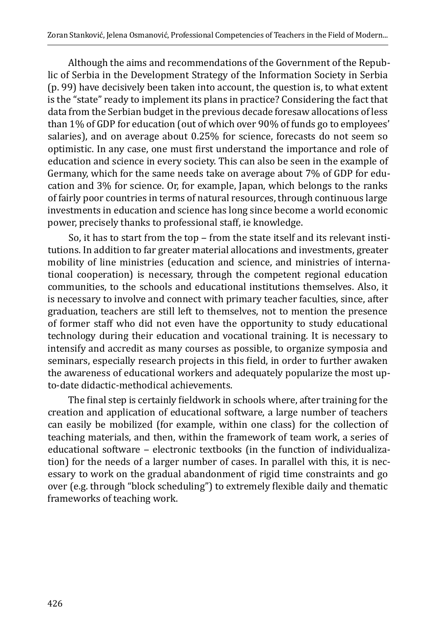Although the aims and recommendations of the Government of the Republic of Serbia in the Development Strategy of the Information Society in Serbia (p. 99) have decisively been taken into account, the question is, to what extent is the "state" ready to implement its plans in practice? Considering the fact that data from the Serbian budget in the previous decade foresaw allocations of less than 1% of GDP for education (out of which over 90% of funds go to employees' salaries), and on average about 0.25% for science, forecasts do not seem so optimistic. In any case, one must first understand the importance and role of education and science in every society. This can also be seen in the example of Germany, which for the same needs take on average about 7% of GDP for education and 3% for science. Or, for example, Japan, which belongs to the ranks of fairly poor countries in terms of natural resources, through continuous large investments in education and science has long since become a world economic power, precisely thanks to professional staff, ie knowledge.

So, it has to start from the top - from the state itself and its relevant institutions. In addition to far greater material allocations and investments, greater mobility of line ministries (education and science, and ministries of international cooperation) is necessary, through the competent regional education communities, to the schools and educational institutions themselves. Also, it is necessary to involve and connect with primary teacher faculties, since, after graduation, teachers are still left to themselves, not to mention the presence of former staff who did not even have the opportunity to study educational technology during their education and vocational training. It is necessary to intensify and accredit as many courses as possible, to organize symposia and seminars, especially research projects in this field, in order to further awaken the awareness of educational workers and adequately popularize the most upto-date didactic-methodical achievements.

The final step is certainly fieldwork in schools where, after training for the creation and application of educational software, a large number of teachers can easily be mobilized (for example, within one class) for the collection of teaching materials, and then, within the framework of team work, a series of educational software - electronic textbooks (in the function of individualization) for the needs of a larger number of cases. In parallel with this, it is necessary to work on the gradual abandonment of rigid time constraints and go over (e.g. through "block scheduling") to extremely flexible daily and thematic frameworks of teaching work.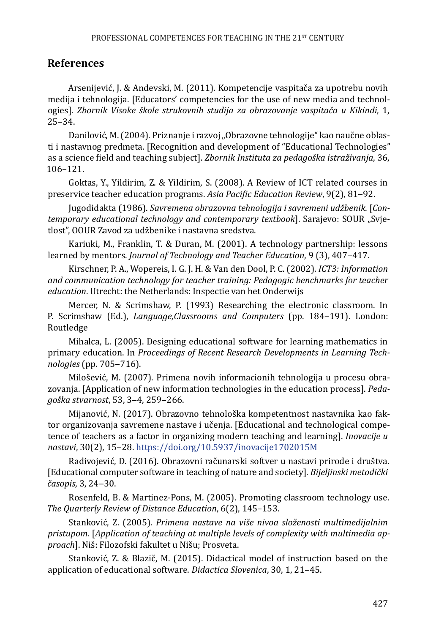### **References**

Arsenijević, J. & Andevski, M. (2011). Kompetencije vaspitača za upotrebu novih medija i tehnologija. [Educators' competencies for the use of new media and technologies]. *Zbornik Visoke škole strukovnih studija za obrazovanje vaspitača u Kikindi*, 1,  $25 - 34.$ 

Danilović, M. (2004). Priznanje i razvoj "Obrazovne tehnologije" kao naučne oblasti i nastavnog predmeta. [Recognition and development of "Educational Technologies" as a science field and teaching subject]. *Zbornik Instituta za pedagoška istraživanja*, 36, 106–121.

Goktas, Y., Yildirim, Z. & Yildirim, S. (2008). A Review of ICT related courses in preservice teacher education programs. *Asia Pacific Education Review*, 9(2), 81‒92.

Jugodidakta (1986). *Savremena obrazovna tehnologija i savremeni udžbenik*. [*Contemporary educational technology and contemporary textbook*]. Sarajevo: SOUR "Svjetlost", OOUR Zavod za udžbenike i nastavna sredstva.

Kariuki, M., Franklin, T. & Duran, M. (2001). A technology partnership: lessons learned by mentors. *Journal of Technology and Teacher Education*, 9 (3), 407-417.

Kirschner, P. A., Wopereis, I. G. J. H. & Van den Dool, P. C. (2002). *ICT3: Information and communication technology for teacher training: Pedagogic benchmarks for teacher education*. Utrecht: the Netherlands: Inspectie van het Onderwijs

Mercer, N. & Scrimshaw, P. (1993) Researching the electronic classroom. In P. Scrimshaw (Ed.), *Language,Classrooms and Computers* (pp. 184–191). London: Routledge

Mihalca, L. (2005). Designing educational software for learning mathematics in primary education. In *Proceedings of Recent Research Developments in Learning Technologies* (pp. 705‒716).

Milošević, M. (2007). Primena novih informacionih tehnologija u procesu obrazovanja. [Application of new information technologies in the education process]. *Pedagoška stvarnost*, 53, 3‒4, 259‒266.

Mijanović, N. (2017). Obrazovno tehnološka kompetentnost nastavnika kao faktor organizovanja savremene nastave i učenja. [Educational and technological competence of teachers as a factor in organizing modern teaching and learning]. *Inovacije u nastavi*, 30(2), 15‒28.<https://doi.org/10.5937/inovacije1702015M>

Radivojević, D. (2016). Obrazovni računarski softver u nastavi prirode i društva. [Educational computer software in teaching of nature and society]. *Bijeljinski metodički časopis*, 3, 24‒30.

Rosenfeld, B. & Martinez-Pons, M. (2005). Promoting classroom technology use. *The Quarterly Review of Distance Education*, 6(2), 145–153.

Stanković, Z. (2005). *Primena nastave na više nivoa složenosti multimedijalnim pristupom.* [*Application of teaching at multiple levels of complexity with multimedia approach*]. Niš: Filozofski fakultet u Nišu; Prosveta.

Stanković, Z. & Blazič, M. (2015). Didactical model of instruction based on the application of educational software. *Didactica Slovenica*, 30, 1, 21‒45.